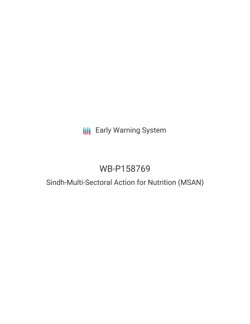## **III** Early Warning System

# WB-P158769

### Sindh-Multi-Sectoral Action for Nutrition (MSAN)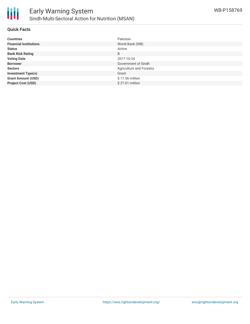

#### **Quick Facts**

| <b>Countries</b>              | Pakistan                 |
|-------------------------------|--------------------------|
| <b>Financial Institutions</b> | World Bank (WB)          |
| <b>Status</b>                 | Active                   |
| <b>Bank Risk Rating</b>       | B                        |
| <b>Voting Date</b>            | 2017-10-24               |
| <b>Borrower</b>               | Government of Sindh      |
| <b>Sectors</b>                | Agriculture and Forestry |
| <b>Investment Type(s)</b>     | Grant                    |
| <b>Grant Amount (USD)</b>     | \$17.56 million          |
| <b>Project Cost (USD)</b>     | \$27.01 million          |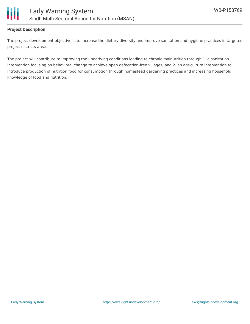

#### **Project Description**

The project development objective is to increase the dietary diversity and improve sanitation and hygiene practices in targeted project districts areas.

The project will contribute to improving the underlying conditions leading to chronic malnutrition through 1. a sanitation intervention focusing on behavioral change to achieve open defecation-free villages; and 2. an agriculture intervention to introduce production of nutrition food for consumption through homestead gardening practices and increasing household knowledge of food and nutrition.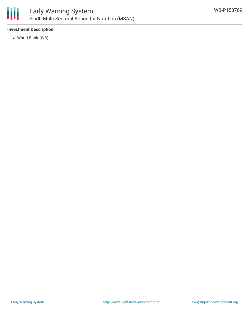

#### **Investment Description**

World Bank (WB)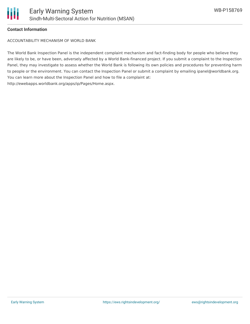

#### **Contact Information**

ACCOUNTABILITY MECHANISM OF WORLD BANK

The World Bank Inspection Panel is the independent complaint mechanism and fact-finding body for people who believe they are likely to be, or have been, adversely affected by a World Bank-financed project. If you submit a complaint to the Inspection Panel, they may investigate to assess whether the World Bank is following its own policies and procedures for preventing harm to people or the environment. You can contact the Inspection Panel or submit a complaint by emailing ipanel@worldbank.org. You can learn more about the Inspection Panel and how to file a complaint at: http://ewebapps.worldbank.org/apps/ip/Pages/Home.aspx.